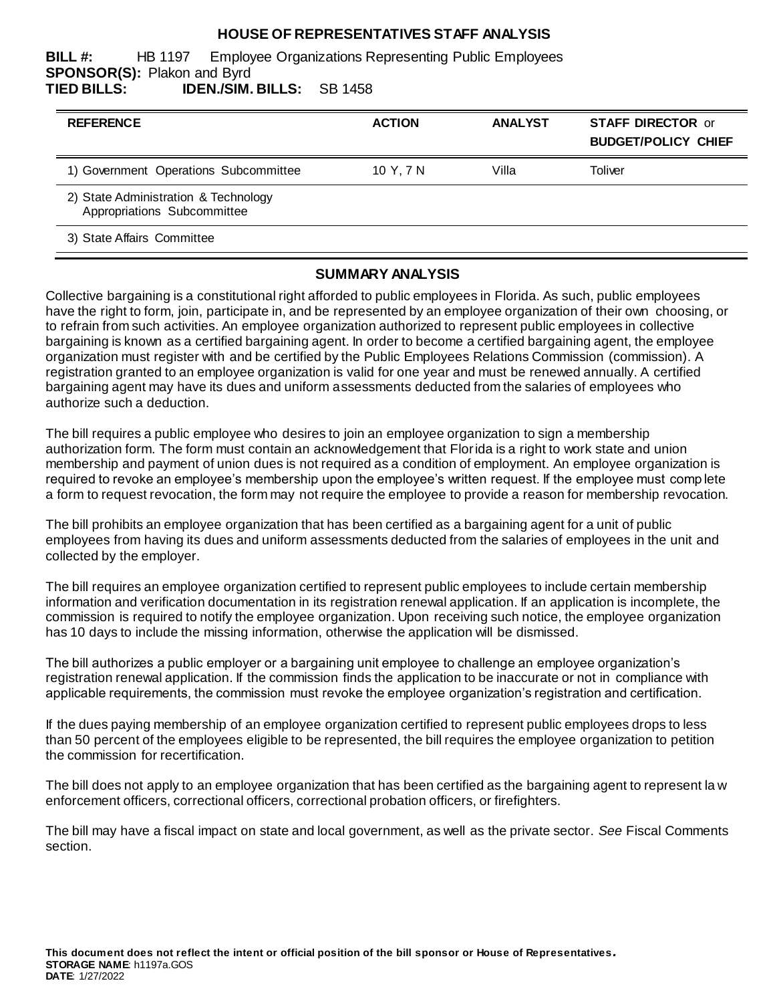### **HOUSE OF REPRESENTATIVES STAFF ANALYSIS**

**BILL #:** HB 1197 Employee Organizations Representing Public Employees **SPONSOR(S):** Plakon and Byrd **TIED BILLS: IDEN./SIM. BILLS:** SB 1458

| <b>REFERENCE</b>                                                    | <b>ACTION</b> | <b>ANALYST</b> | <b>STAFF DIRECTOR or</b><br><b>BUDGET/POLICY CHIEF</b> |
|---------------------------------------------------------------------|---------------|----------------|--------------------------------------------------------|
| 1) Government Operations Subcommittee                               | 10 Y. 7 N     | Villa          | Toliver                                                |
| 2) State Administration & Technology<br>Appropriations Subcommittee |               |                |                                                        |
| 3) State Affairs Committee                                          |               |                |                                                        |

#### **SUMMARY ANALYSIS**

Collective bargaining is a constitutional right afforded to public employees in Florida. As such, public employees have the right to form, join, participate in, and be represented by an employee organization of their own choosing, or to refrain from such activities. An employee organization authorized to represent public employees in collective bargaining is known as a certified bargaining agent. In order to become a certified bargaining agent, the employee organization must register with and be certified by the Public Employees Relations Commission (commission). A registration granted to an employee organization is valid for one year and must be renewed annually. A certified bargaining agent may have its dues and uniform assessments deducted from the salaries of employees who authorize such a deduction.

The bill requires a public employee who desires to join an employee organization to sign a membership authorization form. The form must contain an acknowledgement that Florida is a right to work state and union membership and payment of union dues is not required as a condition of employment. An employee organization is required to revoke an employee's membership upon the employee's written request. If the employee must comp lete a form to request revocation, the form may not require the employee to provide a reason for membership revocation.

The bill prohibits an employee organization that has been certified as a bargaining agent for a unit of public employees from having its dues and uniform assessments deducted from the salaries of employees in the unit and collected by the employer.

The bill requires an employee organization certified to represent public employees to include certain membership information and verification documentation in its registration renewal application. If an application is incomplete, the commission is required to notify the employee organization. Upon receiving such notice, the employee organization has 10 days to include the missing information, otherwise the application will be dismissed.

The bill authorizes a public employer or a bargaining unit employee to challenge an employee organization's registration renewal application. If the commission finds the application to be inaccurate or not in compliance with applicable requirements, the commission must revoke the employee organization's registration and certification.

If the dues paying membership of an employee organization certified to represent public employees drops to less than 50 percent of the employees eligible to be represented, the bill requires the employee organization to petition the commission for recertification.

The bill does not apply to an employee organization that has been certified as the bargaining agent to represent la w enforcement officers, correctional officers, correctional probation officers, or firefighters.

The bill may have a fiscal impact on state and local government, as well as the private sector. *See* Fiscal Comments section.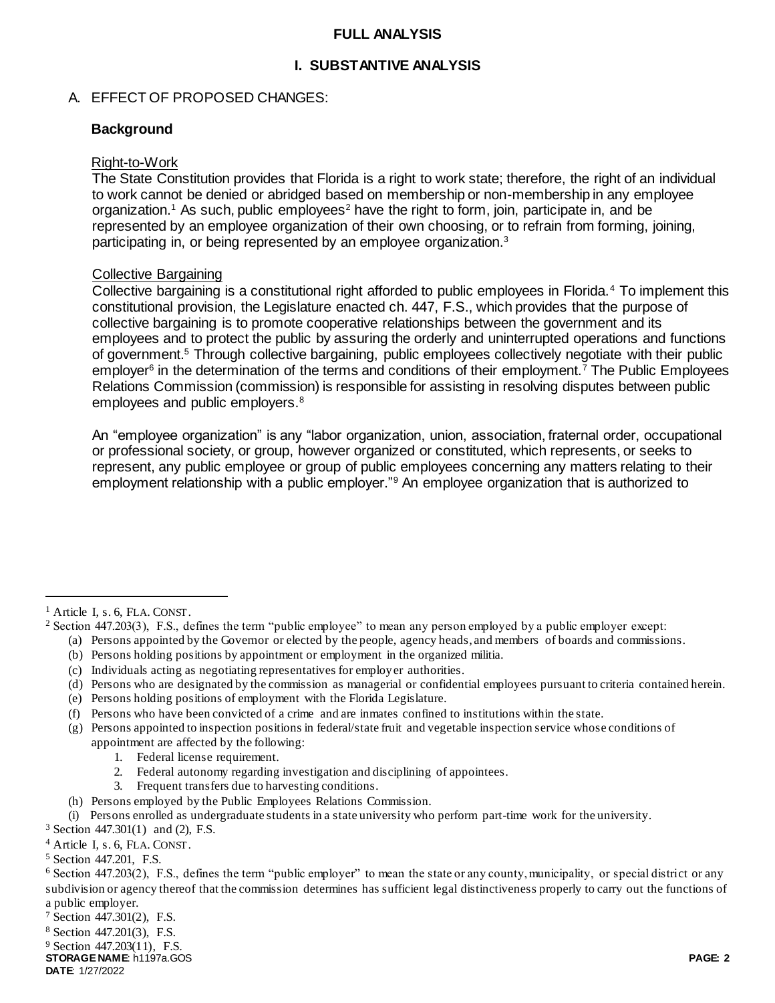### **FULL ANALYSIS**

## **I. SUBSTANTIVE ANALYSIS**

### A. EFFECT OF PROPOSED CHANGES:

### **Background**

#### Right-to-Work

The State Constitution provides that Florida is a right to work state; therefore, the right of an individual to work cannot be denied or abridged based on membership or non-membership in any employee organization.<sup>1</sup> As such, public employees<sup>2</sup> have the right to form, join, participate in, and be represented by an employee organization of their own choosing, or to refrain from forming, joining, participating in, or being represented by an employee organization.<sup>3</sup>

### Collective Bargaining

Collective bargaining is a constitutional right afforded to public employees in Florida.<sup>4</sup> To implement this constitutional provision, the Legislature enacted ch. 447, F.S., which provides that the purpose of collective bargaining is to promote cooperative relationships between the government and its employees and to protect the public by assuring the orderly and uninterrupted operations and functions of government.<sup>5</sup> Through collective bargaining, public employees collectively negotiate with their public employer<sup>6</sup> in the determination of the terms and conditions of their employment.<sup>7</sup> The Public Employees Relations Commission (commission) is responsible for assisting in resolving disputes between public employees and public employers.<sup>8</sup>

An "employee organization" is any "labor organization, union, association, fraternal order, occupational or professional society, or group, however organized or constituted, which represents, or seeks to represent, any public employee or group of public employees concerning any matters relating to their employment relationship with a public employer."<sup>9</sup> An employee organization that is authorized to

 $\overline{a}$ 

- (a) Persons appointed by the Governor or elected by the people, agency heads, and members of boards and commissions.
- (b) Persons holding positions by appointment or employment in the organized militia.
- (c) Individuals acting as negotiating representatives for employer authorities.
- (d) Persons who are designated by the commission as managerial or confidential employees pursuant to criteria contained herein.
- (e) Persons holding positions of employment with the Florida Legislature.
- (f) Persons who have been convicted of a crime and are inmates confined to institutions within the state.
- (g) Persons appointed to inspection positions in federal/state fruit and vegetable inspection service whose conditions of appointment are affected by the following:
	- 1. Federal license requirement.
	- 2. Federal autonomy regarding investigation and disciplining of appointees.
	- 3. Frequent transfers due to harvesting conditions.
- (h) Persons employed by the Public Employees Relations Commission.
- (i) Persons enrolled as undergraduate students in a state university who perform part-time work for the university.

<sup>3</sup> Section 447.301(1) and (2), F.S.

<sup>4</sup> Article I, s. 6, FLA. CONST.

<sup>7</sup> Section 447.301(2), F.S.

<sup>8</sup> Section 447.201(3), F.S.

**STORAGE NAME**: h1197a.GOS **PAGE: 2** <sup>9</sup> Section 447.203(11), F.S.

**DATE**: 1/27/2022

<sup>&</sup>lt;sup>1</sup> Article I, s. 6, FLA. CONST.

<sup>2</sup> Section 447.203(3), F.S., defines the term "public employee" to mean any person employed by a public employer except:

<sup>5</sup> Section 447.201, F.S.

 $6$  Section 447.203(2), F.S., defines the term "public employer" to mean the state or any county, municipality, or special district or any subdivision or agency thereof that the commission determines has sufficient legal distinctiveness properly to carry out the functions of a public employer.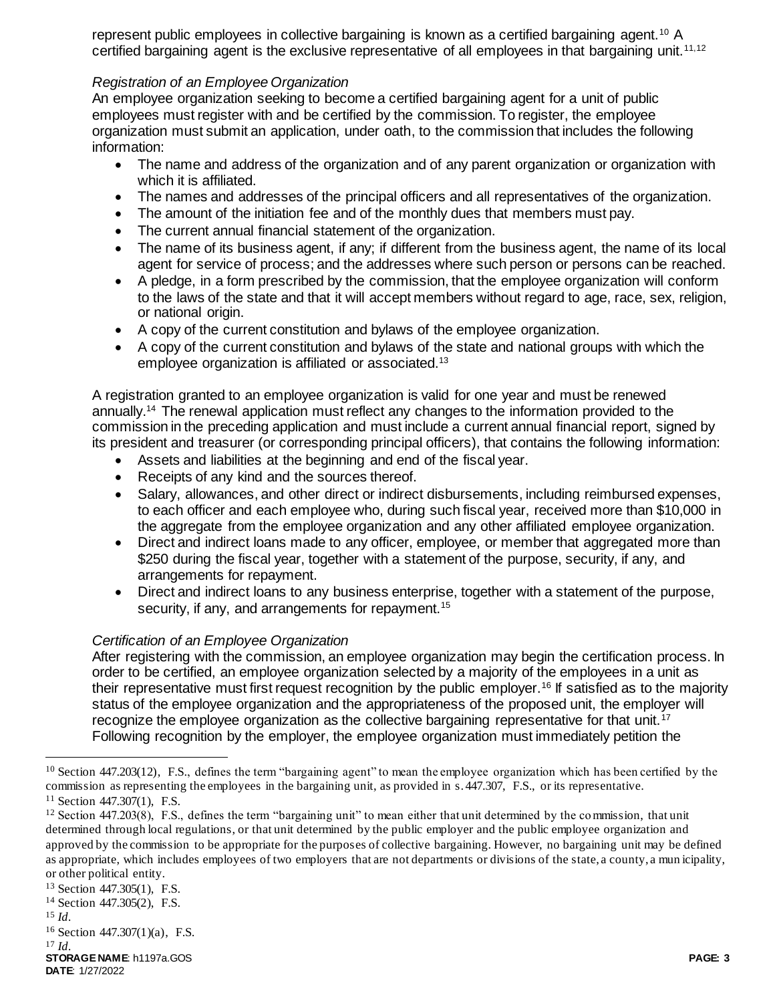represent public employees in collective bargaining is known as a certified bargaining agent.<sup>10</sup> A certified bargaining agent is the exclusive representative of all employees in that bargaining unit.<sup>11,12</sup>

## *Registration of an Employee Organization*

An employee organization seeking to become a certified bargaining agent for a unit of public employees must register with and be certified by the commission. To register, the employee organization must submit an application, under oath, to the commission that includes the following information:

- The name and address of the organization and of any parent organization or organization with which it is affiliated.
- The names and addresses of the principal officers and all representatives of the organization.
- The amount of the initiation fee and of the monthly dues that members must pay.
- The current annual financial statement of the organization.
- The name of its business agent, if any; if different from the business agent, the name of its local agent for service of process; and the addresses where such person or persons can be reached.
- A pledge, in a form prescribed by the commission, that the employee organization will conform to the laws of the state and that it will accept members without regard to age, race, sex, religion, or national origin.
- A copy of the current constitution and bylaws of the employee organization.
- A copy of the current constitution and bylaws of the state and national groups with which the employee organization is affiliated or associated.<sup>13</sup>

A registration granted to an employee organization is valid for one year and must be renewed annually.<sup>14</sup> The renewal application must reflect any changes to the information provided to the commission in the preceding application and must include a current annual financial report, signed by its president and treasurer (or corresponding principal officers), that contains the following information:

- Assets and liabilities at the beginning and end of the fiscal year.
- Receipts of any kind and the sources thereof.
- Salary, allowances, and other direct or indirect disbursements, including reimbursed expenses, to each officer and each employee who, during such fiscal year, received more than \$10,000 in the aggregate from the employee organization and any other affiliated employee organization.
- Direct and indirect loans made to any officer, employee, or member that aggregated more than \$250 during the fiscal year, together with a statement of the purpose, security, if any, and arrangements for repayment.
- Direct and indirect loans to any business enterprise, together with a statement of the purpose, security, if any, and arrangements for repayment.<sup>15</sup>

## *Certification of an Employee Organization*

After registering with the commission, an employee organization may begin the certification process. In order to be certified, an employee organization selected by a majority of the employees in a unit as their representative must first request recognition by the public employer.<sup>16</sup> If satisfied as to the majority status of the employee organization and the appropriateness of the proposed unit, the employer will recognize the employee organization as the collective bargaining representative for that unit.<sup>17</sup> Following recognition by the employer, the employee organization must immediately petition the

<sup>13</sup> Section 447.305(1), F.S.

<sup>15</sup> *Id.* 

 $\overline{a}$ 

**STORAGE NAME**: h1197a.GOS **PAGE: 3 DATE**: 1/27/2022 <sup>17</sup> *Id.*

 $10$  Section 447.203(12), F.S., defines the term "bargaining agent" to mean the employee organization which has been certified by the commission as representing the employees in the bargaining unit, as provided in s. 447.307, F.S., or its representative.

<sup>11</sup> Section 447.307(1), F.S.

 $12$  Section 447.203(8), F.S., defines the term "bargaining unit" to mean either that unit determined by the commission, that unit determined through local regulations, or that unit determined by the public employer and the public employee organization and approved by the commission to be appropriate for the purposes of collective bargaining. However, no bargaining unit may be defined as appropriate, which includes employees of two employers that are not departments or divisions of the state, a county, a mun icipality, or other political entity.

<sup>14</sup> Section 447.305(2), F.S.

<sup>16</sup> Section 447.307(1)(a), F.S.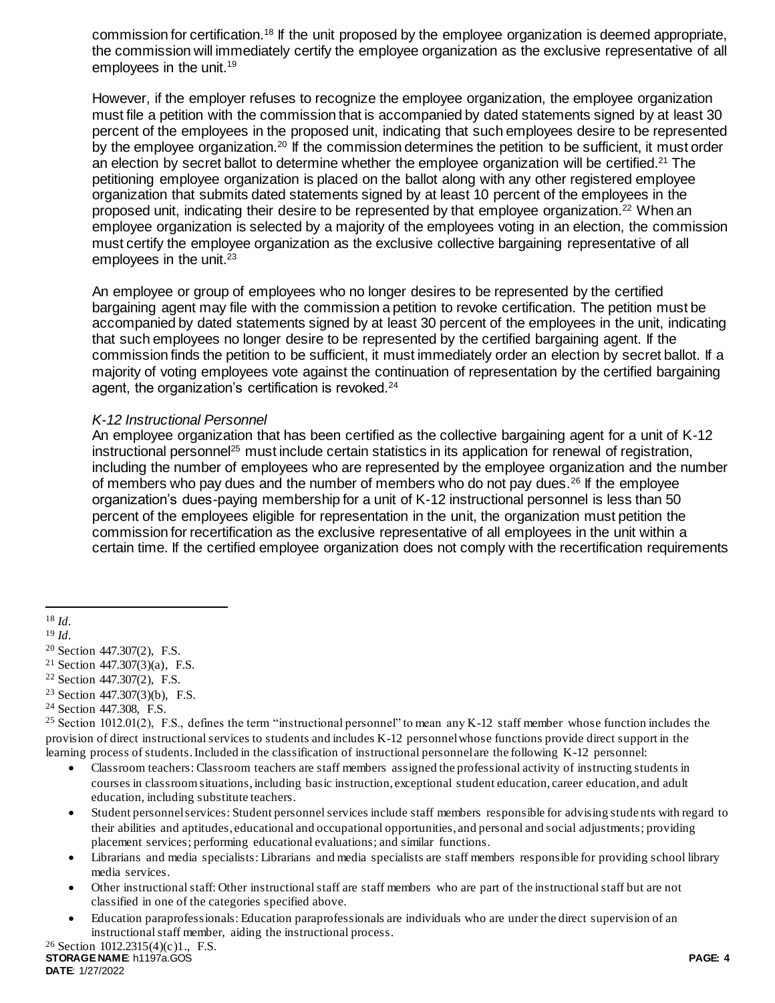commission for certification.<sup>18</sup> If the unit proposed by the employee organization is deemed appropriate, the commission will immediately certify the employee organization as the exclusive representative of all employees in the unit.<sup>19</sup>

However, if the employer refuses to recognize the employee organization, the employee organization must file a petition with the commission that is accompanied by dated statements signed by at least 30 percent of the employees in the proposed unit, indicating that such employees desire to be represented by the employee organization.<sup>20</sup> If the commission determines the petition to be sufficient, it must order an election by secret ballot to determine whether the employee organization will be certified.<sup>21</sup> The petitioning employee organization is placed on the ballot along with any other registered employee organization that submits dated statements signed by at least 10 percent of the employees in the proposed unit, indicating their desire to be represented by that employee organization.<sup>22</sup> When an employee organization is selected by a majority of the employees voting in an election, the commission must certify the employee organization as the exclusive collective bargaining representative of all employees in the unit. $23$ 

An employee or group of employees who no longer desires to be represented by the certified bargaining agent may file with the commission a petition to revoke certification. The petition must be accompanied by dated statements signed by at least 30 percent of the employees in the unit, indicating that such employees no longer desire to be represented by the certified bargaining agent. If the commission finds the petition to be sufficient, it must immediately order an election by secret ballot. If a majority of voting employees vote against the continuation of representation by the certified bargaining agent, the organization's certification is revoked.<sup>24</sup>

### *K-12 Instructional Personnel*

An employee organization that has been certified as the collective bargaining agent for a unit of K-12 instructional personnel<sup>25</sup> must include certain statistics in its application for renewal of registration, including the number of employees who are represented by the employee organization and the number of members who pay dues and the number of members who do not pay dues.<sup>26</sup> If the employee organization's dues-paying membership for a unit of K-12 instructional personnel is less than 50 percent of the employees eligible for representation in the unit, the organization must petition the commission for recertification as the exclusive representative of all employees in the unit within a certain time. If the certified employee organization does not comply with the recertification requirements

 $\overline{a}$ 

- <sup>22</sup> Section 447.307(2), F.S.
- <sup>23</sup> Section 447.307(3)(b), F.S.
- <sup>24</sup> Section 447.308, F.S.

- Classroom teachers: Classroom teachers are staff members assigned the professional activity of instructing students in courses in classroom situations, including basic instruction, exceptional student education, career education, and adult education, including substitute teachers.
- Student personnel services: Student personnel services include staff members responsible for advising stude nts with regard to their abilities and aptitudes, educational and occupational opportunities, and personal and social adjustments; providing placement services; performing educational evaluations; and similar functions.
- Librarians and media specialists: Librarians and media specialists are staff members responsible for providing school library media services.
- Other instructional staff: Other instructional staff are staff members who are part of the instructional staff but are not classified in one of the categories specified above.
- Education paraprofessionals: Education paraprofessionals are individuals who are under the direct supervision of an instructional staff member, aiding the instructional process.

<sup>18</sup> *Id.* 

<sup>19</sup> *Id.* 

<sup>20</sup> Section 447.307(2), F.S.

<sup>&</sup>lt;sup>21</sup> Section 447.307(3)(a), F.S.

<sup>&</sup>lt;sup>25</sup> Section 1012.01(2), F.S., defines the term "instructional personnel" to mean any K-12 staff member whose function includes the provision of direct instructional services to students and includes K-12 personnel whose functions provide direct support in the learning process of students. Included in the classification of instructional personnel are the following K-12 personnel: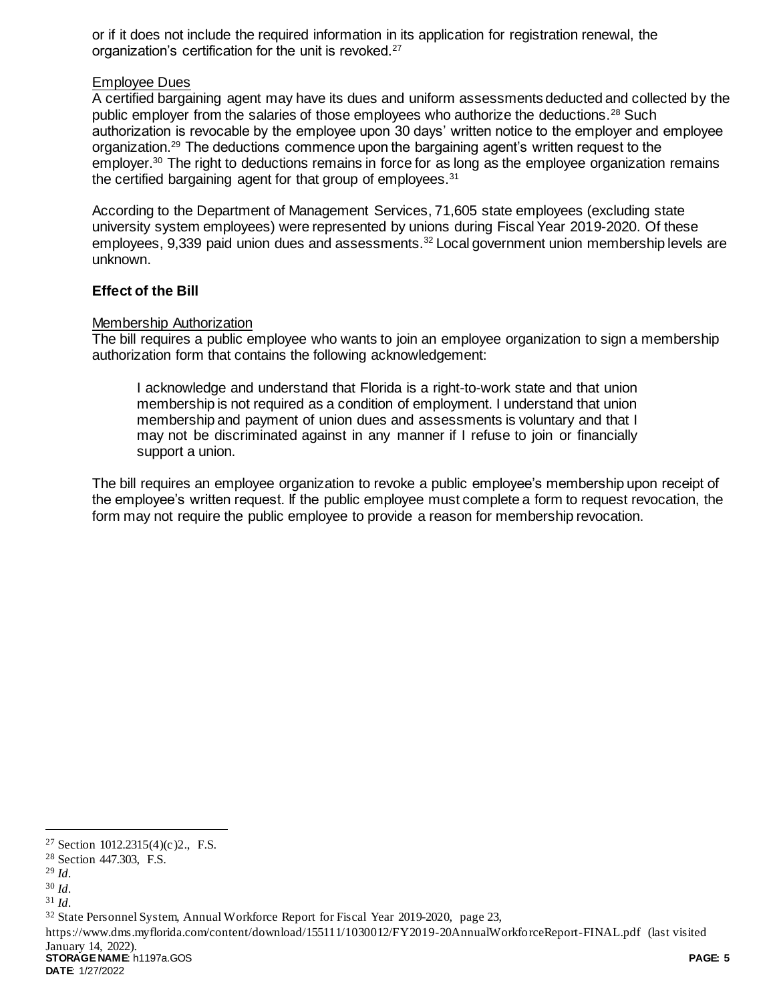or if it does not include the required information in its application for registration renewal, the organization's certification for the unit is revoked.<sup>27</sup>

### Employee Dues

A certified bargaining agent may have its dues and uniform assessments deducted and collected by the public employer from the salaries of those employees who authorize the deductions.<sup>28</sup> Such authorization is revocable by the employee upon 30 days' written notice to the employer and employee organization.<sup>29</sup> The deductions commence upon the bargaining agent's written request to the employer.<sup>30</sup> The right to deductions remains in force for as long as the employee organization remains the certified bargaining agent for that group of employees.<sup>31</sup>

According to the Department of Management Services, 71,605 state employees (excluding state university system employees) were represented by unions during Fiscal Year 2019-2020. Of these employees, 9,339 paid union dues and assessments.<sup>32</sup> Local government union membership levels are unknown.

### **Effect of the Bill**

### Membership Authorization

The bill requires a public employee who wants to join an employee organization to sign a membership authorization form that contains the following acknowledgement:

I acknowledge and understand that Florida is a right-to-work state and that union membership is not required as a condition of employment. I understand that union membership and payment of union dues and assessments is voluntary and that I may not be discriminated against in any manner if I refuse to join or financially support a union.

The bill requires an employee organization to revoke a public employee's membership upon receipt of the employee's written request. If the public employee must complete a form to request revocation, the form may not require the public employee to provide a reason for membership revocation.

l

**STORAGE NAME**: h1197a.GOS **PAGE: 5** https://www.dms.myflorida.com/content/download/155111/1030012/FY2019-20AnnualWorkforceReport-FINAL.pdf (last visited January 14, 2022).

**DATE**: 1/27/2022

<sup>27</sup> Section 1012.2315(4)(c)2., F.S.

<sup>28</sup> Section 447.303, F.S.

<sup>29</sup> *Id.* 

<sup>30</sup> *Id.* 

<sup>31</sup> *Id.* 

<sup>32</sup> State Personnel System, Annual Workforce Report for Fiscal Year 2019-2020, page 23,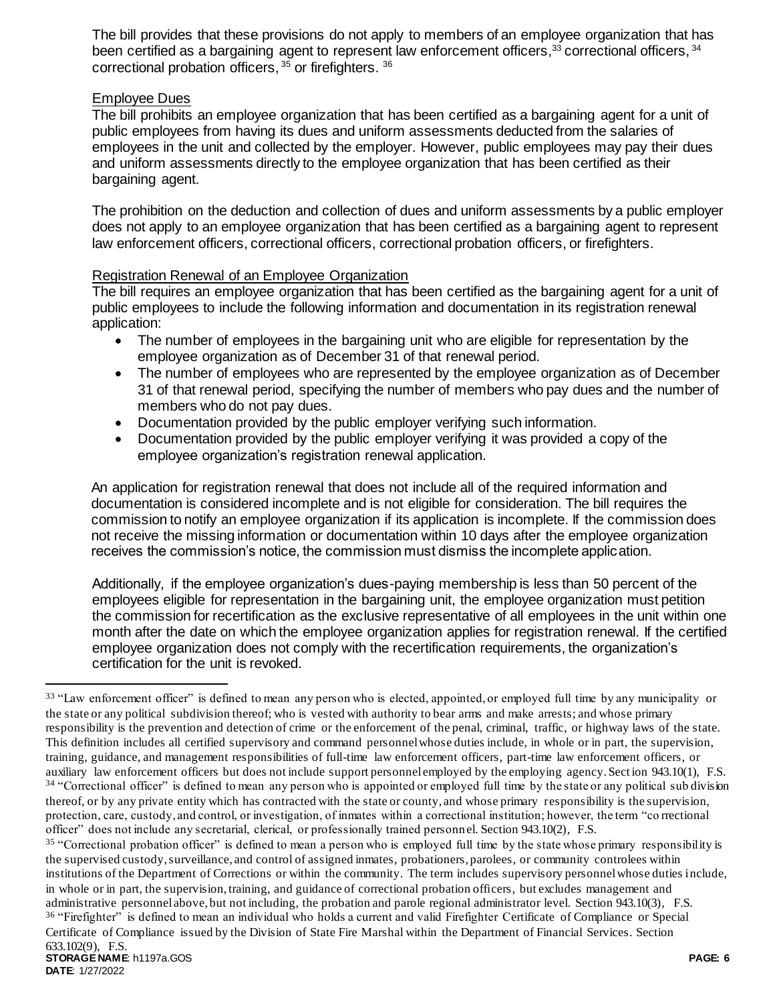The bill provides that these provisions do not apply to members of an employee organization that has been certified as a bargaining agent to represent law enforcement officers,<sup>33</sup> correctional officers, <sup>34</sup> correctional probation officers, <sup>35</sup> or firefighters. <sup>36</sup>

## Employee Dues

The bill prohibits an employee organization that has been certified as a bargaining agent for a unit of public employees from having its dues and uniform assessments deducted from the salaries of employees in the unit and collected by the employer. However, public employees may pay their dues and uniform assessments directly to the employee organization that has been certified as their bargaining agent.

The prohibition on the deduction and collection of dues and uniform assessments by a public employer does not apply to an employee organization that has been certified as a bargaining agent to represent law enforcement officers, correctional officers, correctional probation officers, or firefighters.

## Registration Renewal of an Employee Organization

The bill requires an employee organization that has been certified as the bargaining agent for a unit of public employees to include the following information and documentation in its registration renewal application:

- The number of employees in the bargaining unit who are eligible for representation by the employee organization as of December 31 of that renewal period.
- The number of employees who are represented by the employee organization as of December 31 of that renewal period, specifying the number of members who pay dues and the number of members who do not pay dues.
- Documentation provided by the public employer verifying such information.
- Documentation provided by the public employer verifying it was provided a copy of the employee organization's registration renewal application.

An application for registration renewal that does not include all of the required information and documentation is considered incomplete and is not eligible for consideration. The bill requires the commission to notify an employee organization if its application is incomplete. If the commission does not receive the missing information or documentation within 10 days after the employee organization receives the commission's notice, the commission must dismiss the incomplete application.

Additionally, if the employee organization's dues-paying membership is less than 50 percent of the employees eligible for representation in the bargaining unit, the employee organization must petition the commission for recertification as the exclusive representative of all employees in the unit within one month after the date on which the employee organization applies for registration renewal. If the certified employee organization does not comply with the recertification requirements, the organization's certification for the unit is revoked.

Certificate of Compliance issued by the Division of State Fire Marshal within the Department of Financial Services. Section 633.102(9), F.S.

 $\overline{a}$ 

<sup>&</sup>lt;sup>33</sup> "Law enforcement officer" is defined to mean any person who is elected, appointed, or employed full time by any municipality or the state or any political subdivision thereof; who is vested with authority to bear arms and make arrests; and whose primary responsibility is the prevention and detection of crime or the enforcement of the penal, criminal, traffic, or highway laws of the state. This definition includes all certified supervisory and command personnel whose duties include, in whole or in part, the supervision, training, guidance, and management responsibilities of full-time law enforcement officers, part-time law enforcement officers, or auxiliary law enforcement officers but does not include support personnel employed by the employing agency. Section 943.10(1), F.S. <sup>34</sup> "Correctional officer" is defined to mean any person who is appointed or employed full time by the state or any political sub division thereof, or by any private entity which has contracted with the state or county, and whose primary responsibility is the supervision, protection, care, custody, and control, or investigation, of inmates within a correctional institution; however, the term "co rrectional officer" does not include any secretarial, clerical, or professionally trained personnel. Section 943.10(2), F.S.

<sup>&</sup>lt;sup>35</sup> "Correctional probation officer" is defined to mean a person who is employed full time by the state whose primary responsibility is the supervised custody, surveillance, and control of assigned inmates, probationers, parolees, or community controlees within institutions of the Department of Corrections or within the community. The term includes supervisory personnel whose duties include, in whole or in part, the supervision, training, and guidance of correctional probation officers, but excludes management and administrative personnel above, but not including, the probation and parole regional administrator level. Section 943.10(3), F.S. <sup>36</sup> "Firefighter" is defined to mean an individual who holds a current and valid Firefighter Certificate of Compliance or Special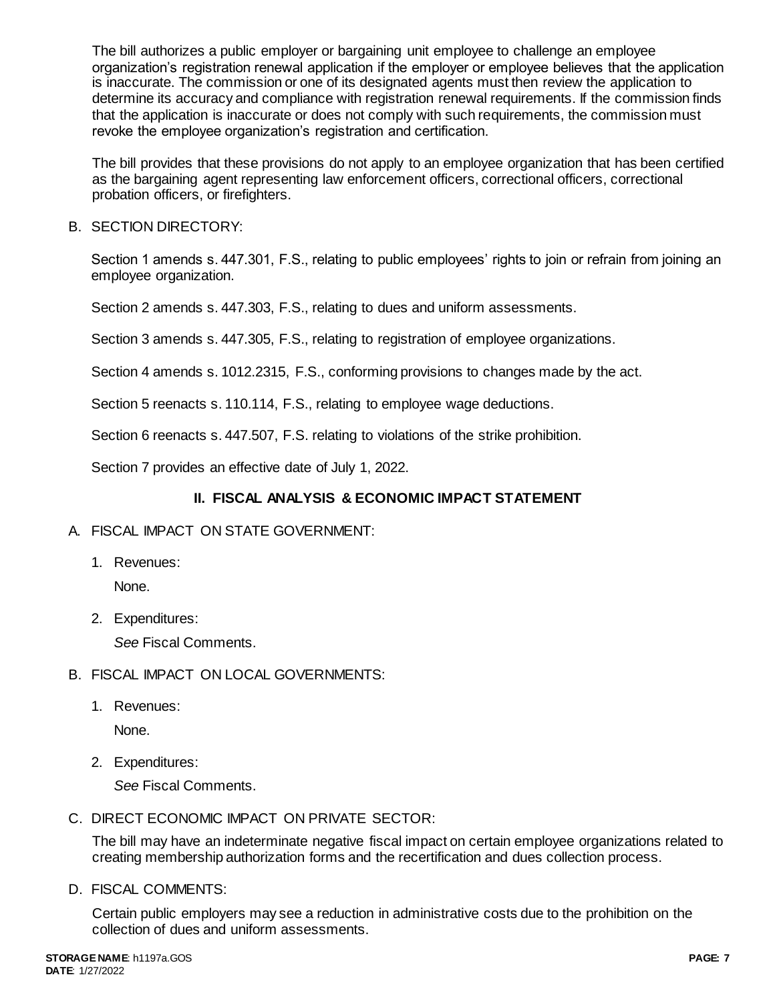The bill authorizes a public employer or bargaining unit employee to challenge an employee organization's registration renewal application if the employer or employee believes that the application is inaccurate. The commission or one of its designated agents must then review the application to determine its accuracy and compliance with registration renewal requirements. If the commission finds that the application is inaccurate or does not comply with such requirements, the commission must revoke the employee organization's registration and certification.

The bill provides that these provisions do not apply to an employee organization that has been certified as the bargaining agent representing law enforcement officers, correctional officers, correctional probation officers, or firefighters.

B. SECTION DIRECTORY:

Section 1 amends s. 447.301, F.S., relating to public employees' rights to join or refrain from joining an employee organization.

Section 2 amends s. 447.303, F.S., relating to dues and uniform assessments.

Section 3 amends s. 447.305, F.S., relating to registration of employee organizations.

Section 4 amends s. 1012.2315, F.S., conforming provisions to changes made by the act.

Section 5 reenacts s. 110.114, F.S., relating to employee wage deductions.

Section 6 reenacts s. 447.507, F.S. relating to violations of the strike prohibition.

Section 7 provides an effective date of July 1, 2022.

# **II. FISCAL ANALYSIS & ECONOMIC IMPACT STATEMENT**

- A. FISCAL IMPACT ON STATE GOVERNMENT:
	- 1. Revenues:

None.

2. Expenditures:

*See* Fiscal Comments.

- B. FISCAL IMPACT ON LOCAL GOVERNMENTS:
	- 1. Revenues:

None.

2. Expenditures:

*See* Fiscal Comments.

C. DIRECT ECONOMIC IMPACT ON PRIVATE SECTOR:

The bill may have an indeterminate negative fiscal impact on certain employee organizations related to creating membership authorization forms and the recertification and dues collection process.

D. FISCAL COMMENTS:

Certain public employers may see a reduction in administrative costs due to the prohibition on the collection of dues and uniform assessments.